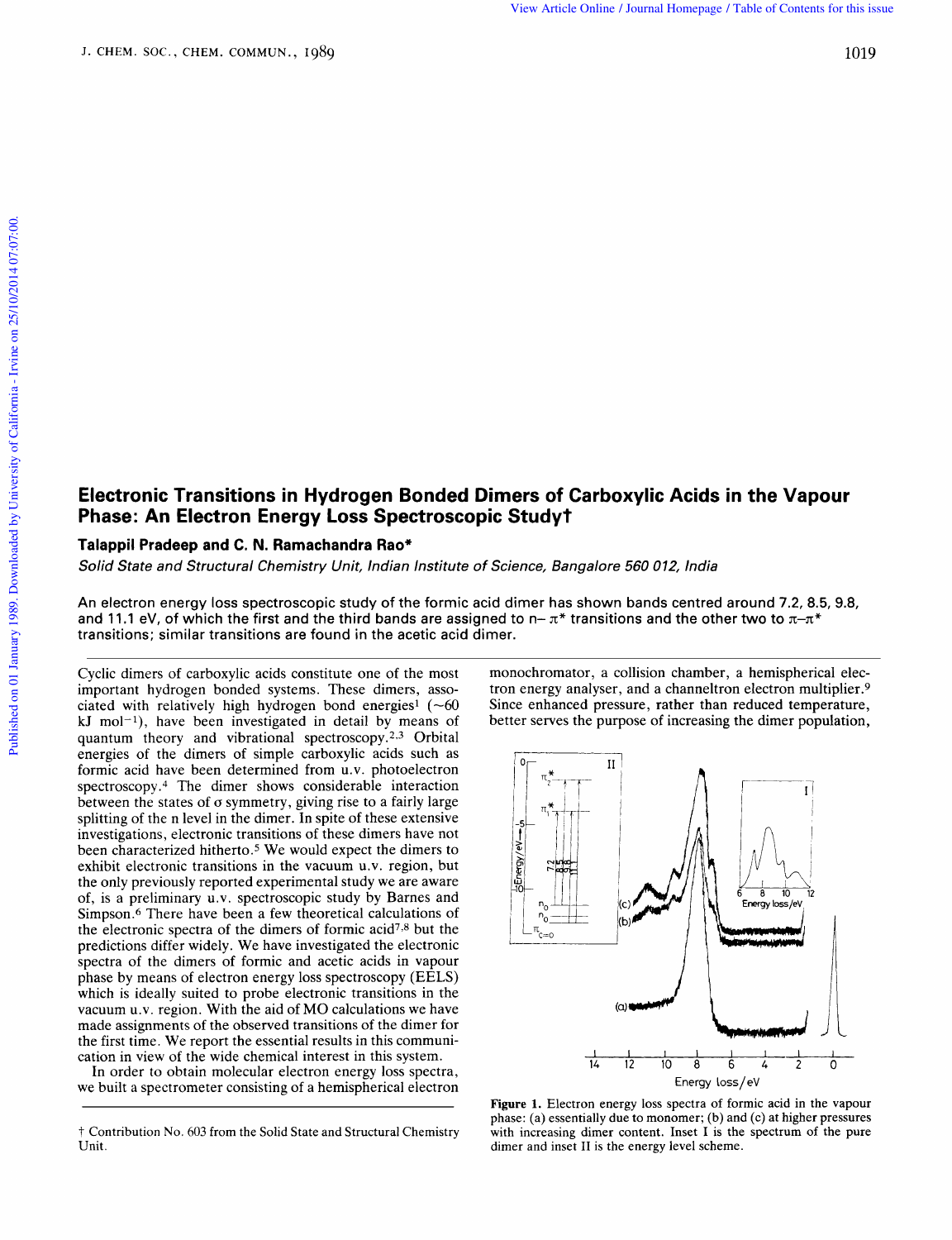## **Electronic Transitions in Hydrogen Bonded Dimers of Carboxylic Acids in the Vapour Phase: An Electron Energy Loss Spectroscopic Studyt**  ond<mark>ed Dimers of Carboxylic Acids in the Vapour</mark><br>troscopic Study†<br>Institute of Science, Bangalore 560 012, India **c Acids in the Vapour<br>012, India<br>ds centred around 7.2, 8.5, 9.8,**

## **Talappil Pradeep and C. N. Ramachandra Rao\***

Solid State and Structural Chemistry Unit, Indian Institute of Science, Bangalore 560

An electron energy loss spectroscopic study of the formic acid dimer has shown bands centred **Phase: An Electron Energy Loss Spectroscopic StudyT**<br>Talappil Pradeep and C. N. Ramachandra Rao\*<br>Solid State and Structural Chemistry Unit, Indian Institute of Science, Bangalore 560 012, India<br>An electron energy loss sp transitions; similar transitions are found in the acetic acid dimer. An electron energy loss spectroscopic study of the formic acid dimer has shown bands centred around 7.2, 8.5, 9.8,<br>and 11.1 eV, of which the first and the third bands are assigned to  $n-\pi^*$  transitions and the other two

Cyclic dimers of carboxylic acids constitute one of the most important hydrogen bonded systems. These dimers, asso**kJ** mol-l), have been investigated in detail by means of quantum theory and vibrational spectroscopy.<sup>2,3</sup> Orbital energies of the dimers of simple carboxylic acids such as formic acid have been determined from u.v. photoelectron spectroscopy. $4$  The dimer shows considerable interaction between the states of  $\sigma$  symmetry, giving rise to a fairly large migorian in yarogen bond energies  $1 \leftarrow 60$  Since enhanced pressure, rather than reduced temperature,<br>kJ mol<sup>-1</sup>), have been investigated in detail by means of better serves the purpose of increasing the dimer population, splitting of the n level in the dimer. In spite of these extensive investigations, electronic transitions of these dimers have not been characterized hitherto.<sup>5</sup> We would expect the dimers to exhibit electronic transitions in the vacuum u.v. region, but the only previously reported experimental study we are aware of, is a preliminary u.v. spectroscopic study by Barnes and Simpson.6 There have been a few theoretical calculations of the electronic spectra of the dimers of formic acid7.8 but the predictions differ widely. We have investigated the electronic spectra of the dimers of formic and acetic acids in vapour phase by means of electron energy loss spectroscopy (EELS) which is ideally suited to probe electronic transitions in the vacuum **U.V.** region. With the aid of MO calculations we have made assignments of the observed transitions of the dimer for the first time. We report the essential results in this communication in view of the wide chemical interest in this system.

In order to obtain molecular electron energy loss spectra, we built a spectrometer consisting of a hemispherical electron monochromator, a collision chamber, a hemispherical electron energy analyser, and a channeltron electron multiplier.9 Since enhanced pressure, rather than reduced temperature, better serves the purpose of increasing the dimer population,



**Figure 1.** Electron energy loss spectra of formic acid in the vapour phase: (a) essentially due to monomer; **(b)** and (c) at higher pressures with increasing dimer content. Inset I **is** the spectrum of the pure dimer and inset I1 is the energy level scheme.

t Contribution No. 603 from the Solid State and Structural Chemistry Unit.